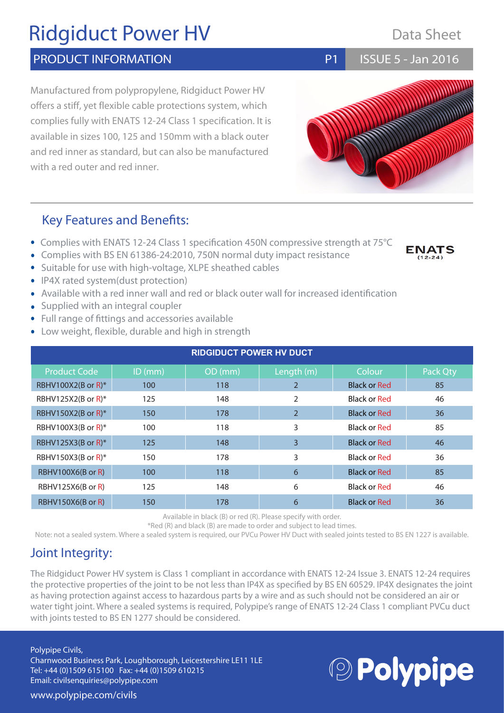# Ridgiduct Power HV

### PRODUCT INFORMATION **PRODUCT** INFORMATION

Manufactured from polypropylene, Ridgiduct Power HV offers a stiff, yet flexible cable protections system, which complies fully with ENATS 12-24 Class 1 specification. It is available in sizes 100, 125 and 150mm with a black outer and red inner as standard, but can also be manufactured with a red outer and red inner.

### Key Features and Benefits:

- Complies with ENATS 12-24 Class 1 specification 450N compressive strength at 75°C
- Complies with BS EN 61386-24:2010, 750N normal duty impact resistance
- Suitable for use with high-voltage, XLPE sheathed cables
- IP4X rated system(dust protection)
- Available with a red inner wall and red or black outer wall for increased identification
- Supplied with an integral coupler
- Full range of fittings and accessories available
- Low weight, flexible, durable and high in strength

| <b>RIDGIDUCT POWER HV DUCT</b> |           |         |                |                     |          |
|--------------------------------|-----------|---------|----------------|---------------------|----------|
| <b>Product Code</b>            | $ID$ (mm) | OD (mm) | Length (m)     | Colour              | Pack Qty |
| RBHV100X2(B or R)*             | 100       | 118     | 2              | <b>Black or Red</b> | 85       |
| RBHV125X2(B or R)*             | 125       | 148     | 2              | <b>Black or Red</b> | 46       |
| RBHV150X2(B or R)*             | 150       | 178     | $\overline{2}$ | <b>Black or Red</b> | 36       |
| RBHV100X3(B or R)*             | 100       | 118     | 3              | Black or Red        | 85       |
| RBHV125X3(B or R)*             | 125       | 148     | 3              | <b>Black or Red</b> | 46       |
| RBHV150X3(B or R)*             | 150       | 178     | 3              | <b>Black or Red</b> | 36       |
| RBHV100X6(B or R)              | 100       | 118     | 6              | <b>Black or Red</b> | 85       |
| RBHV125X6(B or R)              | 125       | 148     | 6              | <b>Black or Red</b> | 46       |
| RBHV150X6(B or R)              | 150       | 178     | 6              | <b>Black or Red</b> | 36       |

Available in black (B) or red (R). Please specify with order.

\*Red (R) and black (B) are made to order and subject to lead times.

Note: not a sealed system. Where a sealed system is required, our PVCu Power HV Duct with sealed joints tested to BS EN 1227 is available.

## Joint Integrity:

The Ridgiduct Power HV system is Class 1 compliant in accordance with ENATS 12-24 Issue 3. ENATS 12-24 requires the protective properties of the joint to be not less than IP4X as specified by BS EN 60529. IP4X designates the joint as having protection against access to hazardous parts by a wire and as such should not be considered an air or water tight joint. Where a sealed systems is required, Polypipe's range of ENATS 12-24 Class 1 compliant PVCu duct with joints tested to BS EN 1277 should be considered.

#### Polypipe Civils,

www.polypipe.com/civils

Charnwood Business Park, Loughborough, Leicestershire LE11 1LE Tel: +44 (0)1509 615100 Fax: +44 (0)1509 610215 Email: civilsenquiries@polypipe.com





Data Sheet

**ENATS** 

ISSUE 5 - Jan 2016